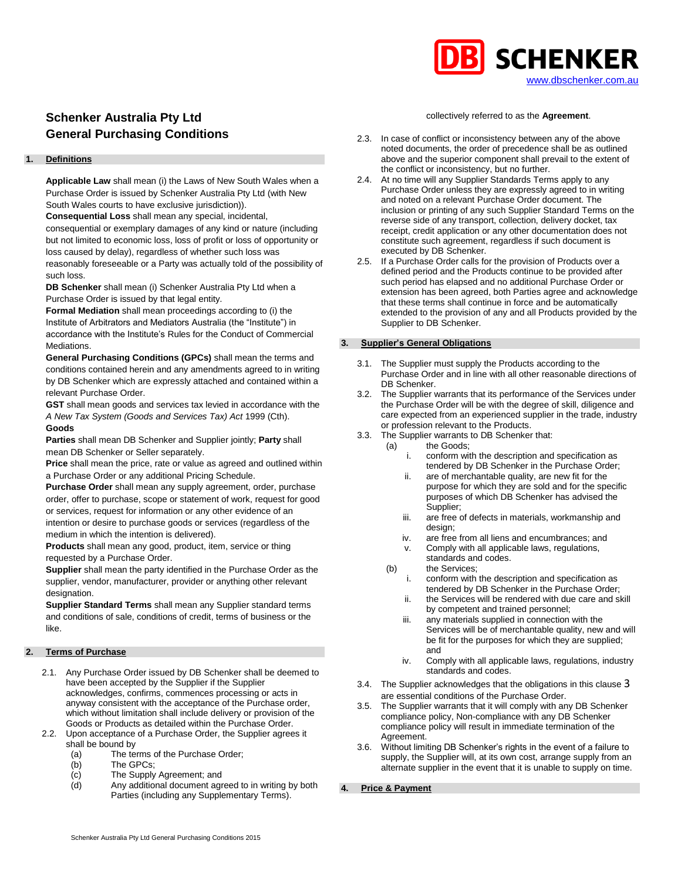

# **Schenker Australia Pty Ltd General Purchasing Conditions**

# **1. Definitions**

**Applicable Law** shall mean (i) the Laws of New South Wales when a Purchase Order is issued by Schenker Australia Pty Ltd (with New South Wales courts to have exclusive jurisdiction)).

**Consequential Loss** shall mean any special, incidental,

consequential or exemplary damages of any kind or nature (including but not limited to economic loss, loss of profit or loss of opportunity or loss caused by delay), regardless of whether such loss was reasonably foreseeable or a Party was actually told of the possibility of such loss.

**DB Schenker** shall mean (i) Schenker Australia Pty Ltd when a Purchase Order is issued by that legal entity.

**Formal Mediation** shall mean proceedings according to (i) the Institute of Arbitrators and Mediators Australia (the "Institute") in accordance with the Institute's Rules for the Conduct of Commercial Mediations.

**General Purchasing Conditions (GPCs)** shall mean the terms and conditions contained herein and any amendments agreed to in writing by DB Schenker which are expressly attached and contained within a relevant Purchase Order.

**GST** shall mean goods and services tax levied in accordance with the *A New Tax System (Goods and Services Tax) Act* 1999 (Cth). **Goods**

**Parties** shall mean DB Schenker and Supplier jointly; **Party** shall mean DB Schenker or Seller separately.

**Price** shall mean the price, rate or value as agreed and outlined within a Purchase Order or any additional Pricing Schedule.

**Purchase Order** shall mean any supply agreement, order, purchase order, offer to purchase, scope or statement of work, request for good or services, request for information or any other evidence of an intention or desire to purchase goods or services (regardless of the medium in which the intention is delivered).

**Products** shall mean any good, product, item, service or thing requested by a Purchase Order.

**Supplier** shall mean the party identified in the Purchase Order as the supplier, vendor, manufacturer, provider or anything other relevant designation.

**Supplier Standard Terms** shall mean any Supplier standard terms and conditions of sale, conditions of credit, terms of business or the like.

# <span id="page-0-1"></span>**2. Terms of Purchase**

- 2.1. Any Purchase Order issued by DB Schenker shall be deemed to have been accepted by the Supplier if the Supplier acknowledges, confirms, commences processing or acts in anyway consistent with the acceptance of the Purchase order, which without limitation shall include delivery or provision of the Goods or Products as detailed within the Purchase Order.
- 2.2. Upon acceptance of a Purchase Order, the Supplier agrees it shall be bound by
	- (a) The terms of the Purchase Order;<br>(b) The GPCs;
	- The GPCs:
	- (c) The Supply Agreement; and
	- (d) Any additional document agreed to in writing by both Parties (including any Supplementary Terms).

# collectively referred to as the **Agreement**.

- 2.3. In case of conflict or inconsistency between any of the above noted documents, the order of precedence shall be as outlined above and the superior component shall prevail to the extent of the conflict or inconsistency, but no further.
- 2.4. At no time will any Supplier Standards Terms apply to any Purchase Order unless they are expressly agreed to in writing and noted on a relevant Purchase Order document. The inclusion or printing of any such Supplier Standard Terms on the reverse side of any transport, collection, delivery docket, tax receipt, credit application or any other documentation does not constitute such agreement, regardless if such document is executed by DB Schenker.
- 2.5. If a Purchase Order calls for the provision of Products over a defined period and the Products continue to be provided after such period has elapsed and no additional Purchase Order or extension has been agreed, both Parties agree and acknowledge that these terms shall continue in force and be automatically extended to the provision of any and all Products provided by the Supplier to DB Schenker.

# <span id="page-0-0"></span>**3. Supplier's General Obligations**

- 3.1. The Supplier must supply the Products according to the Purchase Order and in line with all other reasonable directions of DB Schenker.
- 3.2. The Supplier warrants that its performance of the Services under the Purchase Order will be with the degree of skill, diligence and care expected from an experienced supplier in the trade, industry or profession relevant to the Products.
- 3.3. The Supplier warrants to DB Schenker that:
	- (a) the Goods;
		- conform with the description and specification as tendered by DB Schenker in the Purchase Order;
		- ii. are of merchantable quality, are new fit for the purpose for which they are sold and for the specific purposes of which DB Schenker has advised the Supplier;
		- iii. are free of defects in materials, workmanship and design;
		- iv. are free from all liens and encumbrances; and
		- v. Comply with all applicable laws, regulations, standards and codes.
	- (b) the Services; i. conform with the description and specification as
		- tendered by DB Schenker in the Purchase Order; ii. the Services will be rendered with due care and skill
		- by competent and trained personnel; iii. any materials supplied in connection with the Services will be of merchantable quality, new and will be fit for the purposes for which they are supplied; and
		- iv. Comply with all applicable laws, regulations, industry standards and codes.
- 3.4. The Supplier acknowledges that the obligations in this clause [3](#page-0-0) are essential conditions of the Purchase Order.
- 3.5. The Supplier warrants that it will comply with any DB Schenker compliance policy, Non-compliance with any DB Schenker compliance policy will result in immediate termination of the Agreement.
- 3.6. Without limiting DB Schenker's rights in the event of a failure to supply, the Supplier will, at its own cost, arrange supply from an alternate supplier in the event that it is unable to supply on time.
- **4. Price & Payment**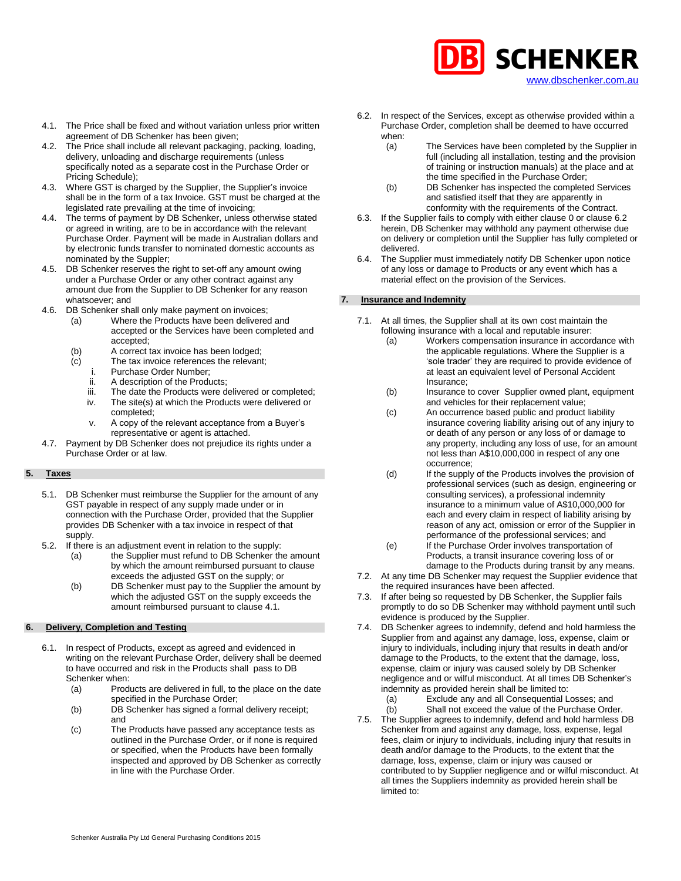

- 4.1. The Price shall be fixed and without variation unless prior written agreement of DB Schenker has been given;
- 4.2. The Price shall include all relevant packaging, packing, loading, delivery, unloading and discharge requirements (unless specifically noted as a separate cost in the Purchase Order or Pricing Schedule);
- 4.3. Where GST is charged by the Supplier, the Supplier's invoice shall be in the form of a tax Invoice. GST must be charged at the legislated rate prevailing at the time of invoicing;
- 4.4. The terms of payment by DB Schenker, unless otherwise stated or agreed in writing, are to be in accordance with the relevant Purchase Order. Payment will be made in Australian dollars and by electronic funds transfer to nominated domestic accounts as nominated by the Suppler;
- 4.5. DB Schenker reserves the right to set-off any amount owing under a Purchase Order or any other contract against any amount due from the Supplier to DB Schenker for any reason whatsoever; and
- 4.6. DB Schenker shall only make payment on invoices;
	- (a) Where the Products have been delivered and accepted or the Services have been completed and accepted;
	- (b) A correct tax invoice has been lodged;
	- (c) The tax invoice references the relevant;
		- i. Purchase Order Number;
		- ii. A description of the Products;
		- iii. The date the Products were delivered or completed;
		- iv. The site(s) at which the Products were delivered or completed;
		- v. A copy of the relevant acceptance from a Buyer's representative or agent is attached.
- 4.7. Payment by DB Schenker does not prejudice its rights under a Purchase Order or at law.

# **5. Taxes**

- 5.1. DB Schenker must reimburse the Supplier for the amount of any GST payable in respect of any supply made under or in connection with the Purchase Order, provided that the Supplier provides DB Schenker with a tax invoice in respect of that supply.
- 5.2. If there is an adjustment event in relation to the supply:
	- (a) the Supplier must refund to DB Schenker the amount by which the amount reimbursed pursuant to clause exceeds the adjusted GST on the supply; or
		- (b) DB Schenker must pay to the Supplier the amount by which the adjusted GST on the supply exceeds the amount reimbursed pursuant to clause 4.1.

# **6. Delivery, Completion and Testing**

- <span id="page-1-0"></span>6.1. In respect of Products, except as agreed and evidenced in writing on the relevant Purchase Order, delivery shall be deemed to have occurred and risk in the Products shall pass to DB Schenker when:
	- (a) Products are delivered in full, to the place on the date specified in the Purchase Order;
	- (b) DB Schenker has signed a formal delivery receipt; and
	- (c) The Products have passed any acceptance tests as outlined in the Purchase Order, or if none is required or specified, when the Products have been formally inspected and approved by DB Schenker as correctly in line with the Purchase Order.
- <span id="page-1-1"></span>6.2. In respect of the Services, except as otherwise provided within a Purchase Order, completion shall be deemed to have occurred when:
	- (a) The Services have been completed by the Supplier in full (including all installation, testing and the provision of training or instruction manuals) at the place and at the time specified in the Purchase Order;
	- (b) DB Schenker has inspected the completed Services and satisfied itself that they are apparently in conformity with the requirements of the Contract.
- 6.3. If the Supplier fails to comply with either claus[e 0](#page-1-0) or claus[e 6.2](#page-1-1) herein, DB Schenker may withhold any payment otherwise due on delivery or completion until the Supplier has fully completed or delivered.
- 6.4. The Supplier must immediately notify DB Schenker upon notice of any loss or damage to Products or any event which has a material effect on the provision of the Services.

# **7. Insurance and Indemnity**

- 7.1. At all times, the Supplier shall at its own cost maintain the following insurance with a local and reputable insurer:
	- (a) Workers compensation insurance in accordance with the applicable regulations. Where the Supplier is a 'sole trader' they are required to provide evidence of at least an equivalent level of Personal Accident Insurance;
	- (b) Insurance to cover Supplier owned plant, equipment and vehicles for their replacement value;
	- (c) An occurrence based public and product liability insurance covering liability arising out of any injury to or death of any person or any loss of or damage to any property, including any loss of use, for an amount not less than A\$10,000,000 in respect of any one occurrence;
	- (d) If the supply of the Products involves the provision of professional services (such as design, engineering or consulting services), a professional indemnity insurance to a minimum value of A\$10,000,000 for each and every claim in respect of liability arising by reason of any act, omission or error of the Supplier in performance of the professional services; and
	- (e) If the Purchase Order involves transportation of Products, a transit insurance covering loss of or damage to the Products during transit by any means.
- 7.2. At any time DB Schenker may request the Supplier evidence that the required insurances have been affected.
- 7.3. If after being so requested by DB Schenker, the Supplier fails promptly to do so DB Schenker may withhold payment until such evidence is produced by the Supplier.
- 7.4. DB Schenker agrees to indemnify, defend and hold harmless the Supplier from and against any damage, loss, expense, claim or injury to individuals, including injury that results in death and/or damage to the Products, to the extent that the damage, loss, expense, claim or injury was caused solely by DB Schenker negligence and or wilful misconduct. At all times DB Schenker's indemnity as provided herein shall be limited to:
	- (a) Exclude any and all Consequential Losses; and
	- (b) Shall not exceed the value of the Purchase Order.
- 7.5. The Supplier agrees to indemnify, defend and hold harmless DB Schenker from and against any damage, loss, expense, legal fees, claim or injury to individuals, including injury that results in death and/or damage to the Products, to the extent that the damage, loss, expense, claim or injury was caused or contributed to by Supplier negligence and or wilful misconduct. At all times the Suppliers indemnity as provided herein shall be limited to: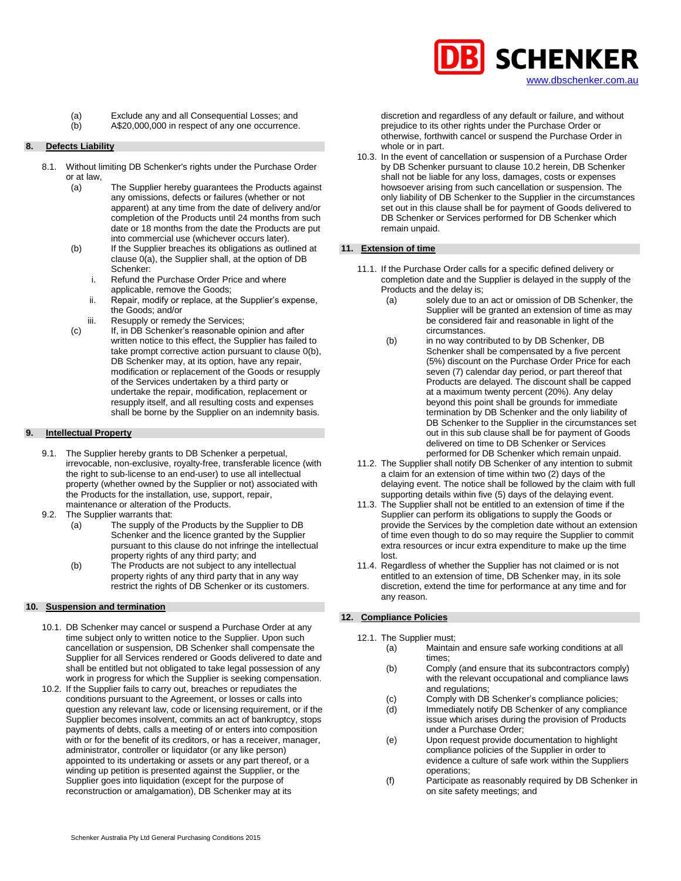

(a) Exclude any and all Consequential Losses; and

(b) A\$20,000,000 in respect of any one occurrence.

#### **8. Defects Liability**

- <span id="page-2-0"></span>8.1. Without limiting DB Schenker's rights under the Purchase Order or at law,
	- (a) The Supplier hereby guarantees the Products against any omissions, defects or failures (whether or not apparent) at any time from the date of delivery and/or completion of the Products until 24 months from such date or 18 months from the date the Products are put into commercial use (whichever occurs later).
	- (b) If the Supplier breaches its obligations as outlined at claus[e 0\(a\),](#page-2-0) the Supplier shall, at the option of DB Schenker:
		- i. Refund the Purchase Order Price and where applicable, remove the Goods;
		- ii. Repair, modify or replace, at the Supplier's expense, the Goods; and/or
		- iii. Resupply or remedy the Services:
	- (c) If, in DB Schenker's reasonable opinion and after written notice to this effect, the Supplier has failed to take prompt corrective action pursuant to claus[e 0\(b\),](#page-2-0)  DB Schenker may, at its option, have any repair, modification or replacement of the Goods or resupply of the Services undertaken by a third party or undertake the repair, modification, replacement or resupply itself, and all resulting costs and expenses shall be borne by the Supplier on an indemnity basis.

# **9. Intellectual Property**

- 9.1. The Supplier hereby grants to DB Schenker a perpetual, irrevocable, non-exclusive, royalty-free, transferable licence (with the right to sub-license to an end-user) to use all intellectual property (whether owned by the Supplier or not) associated with the Products for the installation, use, support, repair, maintenance or alteration of the Products.
- 9.2. The Supplier warrants that:
	- (a) The supply of the Products by the Supplier to DB Schenker and the licence granted by the Supplier pursuant to this clause do not infringe the intellectual property rights of any third party; and
	- (b) The Products are not subject to any intellectual property rights of any third party that in any way restrict the rights of DB Schenker or its customers.

#### **10. Suspension and termination**

- 10.1. DB Schenker may cancel or suspend a Purchase Order at any time subject only to written notice to the Supplier. Upon such cancellation or suspension, DB Schenker shall compensate the Supplier for all Services rendered or Goods delivered to date and shall be entitled but not obligated to take legal possession of any work in progress for which the Supplier is seeking compensation.
- <span id="page-2-1"></span>10.2. If the Supplier fails to carry out, breaches or repudiates the conditions pursuant to the Agreement, or losses or calls into question any relevant law, code or licensing requirement, or if the Supplier becomes insolvent, commits an act of bankruptcy, stops payments of debts, calls a meeting of or enters into composition with or for the benefit of its creditors, or has a receiver, manager, administrator, controller or liquidator (or any like person) appointed to its undertaking or assets or any part thereof, or a winding up petition is presented against the Supplier, or the Supplier goes into liquidation (except for the purpose of reconstruction or amalgamation), DB Schenker may at its

discretion and regardless of any default or failure, and without prejudice to its other rights under the Purchase Order or otherwise, forthwith cancel or suspend the Purchase Order in whole or in part.

10.3. In the event of cancellation or suspension of a Purchase Order by DB Schenker pursuant to claus[e 10.2](#page-2-1) herein, DB Schenker shall not be liable for any loss, damages, costs or expenses howsoever arising from such cancellation or suspension. The only liability of DB Schenker to the Supplier in the circumstances set out in this clause shall be for payment of Goods delivered to DB Schenker or Services performed for DB Schenker which remain unpaid.

#### **11. Extension of time**

- 11.1. If the Purchase Order calls for a specific defined delivery or completion date and the Supplier is delayed in the supply of the Products and the delay is;<br>(a) solely due to a
	- solely due to an act or omission of DB Schenker, the Supplier will be granted an extension of time as may be considered fair and reasonable in light of the circumstances.
	- (b) in no way contributed to by DB Schenker, DB Schenker shall be compensated by a five percent (5%) discount on the Purchase Order Price for each seven (7) calendar day period, or part thereof that Products are delayed. The discount shall be capped at a maximum twenty percent (20%). Any delay beyond this point shall be grounds for immediate termination by DB Schenker and the only liability of DB Schenker to the Supplier in the circumstances set out in this sub clause shall be for payment of Goods delivered on time to DB Schenker or Services performed for DB Schenker which remain unpaid.
- 11.2. The Supplier shall notify DB Schenker of any intention to submit a claim for an extension of time within two (2) days of the delaying event. The notice shall be followed by the claim with full supporting details within five (5) days of the delaying event.
- 11.3. The Supplier shall not be entitled to an extension of time if the Supplier can perform its obligations to supply the Goods or provide the Services by the completion date without an extension of time even though to do so may require the Supplier to commit extra resources or incur extra expenditure to make up the time lost.
- 11.4. Regardless of whether the Supplier has not claimed or is not entitled to an extension of time, DB Schenker may, in its sole discretion, extend the time for performance at any time and for any reason.

# **12. Compliance Policies**

- 12.1. The Supplier must;
	- (a) Maintain and ensure safe working conditions at all times;
	- (b) Comply (and ensure that its subcontractors comply) with the relevant occupational and compliance laws and regulations;
	- (c) Comply with DB Schenker's compliance policies;
	- (d) Immediately notify DB Schenker of any compliance issue which arises during the provision of Products under a Purchase Order;
	- (e) Upon request provide documentation to highlight compliance policies of the Supplier in order to evidence a culture of safe work within the Suppliers operations;
	- (f) Participate as reasonably required by DB Schenker in on site safety meetings; and